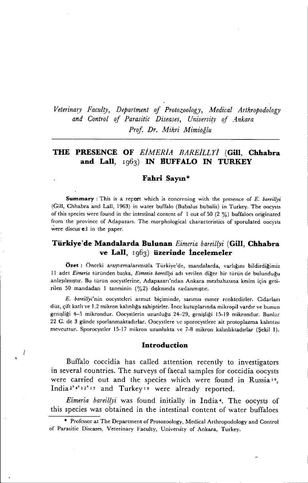*Veterina~y Faculty, Department of Protozoology, Medical Arthropodology*  $and$  *Control of Parasitic Diseases, University of Ankara Prof Dr. Mihri Mimioğlu*

# **THE PRESENCE OF** *EİMERİA BAREILLYİ* (GiII, **Chhabra and Lall,** 1963) **IN BUFFALO IN TURKEY**

## **Fahri Sayın\***

**Summary** : This is a report which is concerning with the presence of *E. bareillyi* (Cill, Chhabra and Lall, i963) in water buffalo (Bubalus bubalis) in Turkey. The oocysts of this species were found in the intestinal content of 1 out of 50 (2  $\%$ ) buffaloes originated from the province of Adapazarı. The morphological characteristics of sporulated oocysts were discus ed in the paper.

# **Türkiye'de Mandalarda Bulunan** *Eimeria bareillyi* (GiII, **Chhabra ve Lall,** 1963) **üzerinde İncelemeler**

**Özet;** Önceki ara5tırmalarımızla Türkiye'de, mandalarda, varlığını bildirdiğimiz ii adet *Eimeria* türünden ba5ka, *Eimeria bareillyi* adı verilen diğer bir türün de bulunduğu anla51lmıştır. Bu türün oocystlerine, Adapazarı'ndan Ankara mezbahasına kesim için getirilen <sup>50</sup> mandadan i tanesinin (%2) dışkısında raslanmıştır.

*E. bareillyi'nin* oocystcleri armut biçiminde, sarımsı esmer renktedirier. Cidarları düz, çift katlı ve ı,2 mikron kalınlığa sahiptirler. Ince kutuplarında mikropil vardır ve bunun genişliği 4-5 mikrondur. Oocystlerin uzunluğu 24-29, genişliği 15-19 mikrondur. Bunlar 22 C. de 3 günde sporlanmaktadırlar. Oocystlere ve sporocystlere ait protoplazma kalıntısı mevcuttur. Sporoeystler 15-17 mikron uzunlukta ve 7-8 mikronkalınlıktadırlar (Şekil I).

### **Introduction**

-1

Buffalo coccidia has called attention recently to investigators in several countries. The surveys of faecal samples for coccidia oocysts were carried out and the species which were found in Russia 19, India<sup>2' 4' 12' 15</sup> and Turkey<sup>16</sup> were already reported.

*Eimeria bareillyi* was found initially in India 4. The oocysts of this species was obtained in the intestinal content of water buffaloes

<sup>•</sup> Profcssor at The Department of Protozoology, Medical Arthropodology and Control of Parasitic Diseases, Veterinary Faeulty, University of Ankara, Turkey.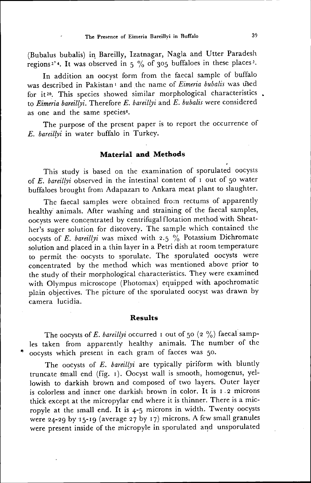(Bubalus bubalis) in. Bareilly, Izatnagar, Nagla and Utter Paradesh regions<sup>2'</sup>. It was observed in  $5\%$  of 305 buffaloes in these places<sup>2</sup>

In addition an oocyst form from the faccal sample of buffalo was described in Pakistan<sup>1</sup> and the name of *Eimeria bubalis* was used for it<sup>20</sup>. This species showed similar morphological characteristics. to *Eimeria bareilfyi.* Therefore *E. bareilryi* and *E. bubalis* were considered as one and the same species<sup>8</sup>

The purpose of the present paper is to report the occurrence of *E. bareil(yi* in water buffalo in Turkey.

## **Material and Methods**

This study is based on the examination of sporulated oocysts of *E. bareillyi* observed in the intestinal content of *i* out of 50 water buffaloes brought from Adapazarı to Ankara meat plant to slaughter.

The faecal samples were obtained from rectums of apparently healthy animals. After washing and straining of the faecal samples, oocysts were concentrated by centrifugal flotation method with Sheather's suger solution for discovery. The sample which contained the oocysts of *E. bareillyi* was mixed with 2.5  $\frac{0}{20}$  Potassium Dichromate solution and placed in a thin layer in a Petri dish at room temperature to permit the. oocysts to sporulatc. The sporulated oocysts were concentrated by the method which was mentioned above prior to the study of their morphological characteristics. They were examined with Olympus microscope (Photomax) equipped with apochromatic plain objectives. The picture of the sporulated oocyst was drawn by camera lucidia.

#### **Results**

The oocysts of *E. bareillyi* occurred 1 out of 50 (2  $\%$ ) faecal samples taken from apparently healthy animals. The number of the oocysts which present in each gram of facces was 50.

The oocysts of *E. bareillyi* are typically piriform with bluntly truncate smail end (fİg. ı). Oocyst wall İs smooth, homogenus, ycllowish to darkish brown and composed of two layers. Outer layer is colorless and inner one darkish brown in color. It is 1.2 microns thick except at the micropylar end where it is thinner. There is a micropyle at the small end. It is  $4-5$  microns in width. Twenty oocysts were 24-29 by 15-19 (average 27 by 17) microns. A few small granules were present inside of the micropyle in sporulated and unsporulated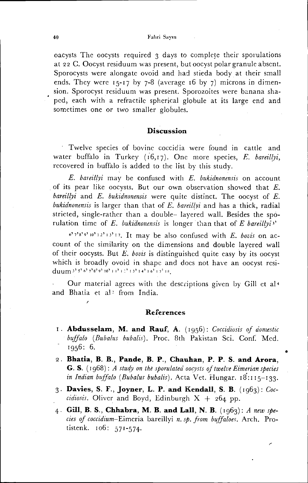#### Fahri Saym

oacysts The oocysts required 3 days to complete their sporulations at 22 C. Oocyst residuum was present, but oocyst polar granule absent. Sporocysts were alongate ovoid and had stieda body at their small ends. They were  $15-17$  by 7-8 (average 16 by 7) microns in dimension. Sporocyst residuum was present. Sporozoites were banana shaped, each with a refractile spherical globule at its large end and sometimes one or two smaller globules.

## **Discussion**

Twelve species of bovine coccidia were found in cattle and water buffalo in Turkey  $(16,17)$ . One more species, E. bareillyi, recovered in buffalo is added to the list by this study.

 $E$ . bareillyi may be confused with  $E$ . bukidnonensis on account of its pear like oocysts. But our own observation showed that  $E$ . bareillyi and  $E$ . bukidnonensis were quite distinct. The oocyst of  $E$ . bukidnonensis is larger than that of E. bareillyi and has a thick, radial stricted, single-rather than a double-layered wall. Besides the sporulation time of  $E$ . bukidnonensis is longer than that of  $E$  bareillyis'

 $6'$ <sup>7'8'9'10'12'13'17</sup>. It may be also confused with E. bovis on account of the similarity on the dimensions and double layered wall of their oocysts. But  $E$ , bovis is distinguished quite easy by its oocyst which is broadly ovoid in shape and does not have an oocyst residuum 3' 5' 6' 7'8' 9' 10' 11' 12' 13' 14' 16' 17' 18.

Our material agrees with the descriptions given by Gill et al<sup>4</sup> and Bhatia et al<sup>2</sup> from India.

#### References

- I. Abdusselam, M. and Rauf, A. (1956): Coccidiosis of domestic buffalo (Bubalus bubalis). Proc. 8th Pakistan Sci. Conf. Med.  $1956:6.$
- 2. Bhatia, B. B., Pande, B. P., Chauhan, P. P. S. and Arora, G. S. (1968): A study on the sporulated oocysts of twelve Eimerian species in Indian buffalo (Bubalus bubalis). Acta Vet. Hungar.  $18:115-133$ .
- 3. Davies, S. F., Joyner, L. P. and Kendall, S. B.  $(1963)$ : Coccidiosis. Oliver and Boyd, Edinburgh  $X + 264$  pp.
- 4. Gill, B. S., Chhabra, M. B. and Lall, N. B.  $(1063)$ : A new species of coccidium-Eimeria bareillyi n. sp. from buffaloes. Arch. Protistenk. 106: 571-574.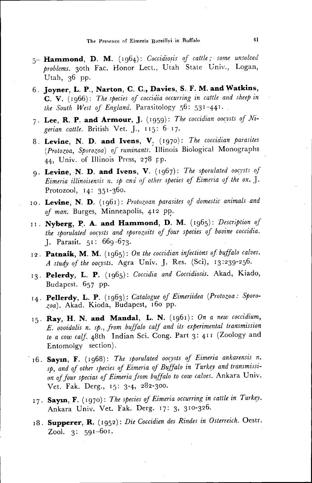- 5- Hammond, D. M. (1964): Coccidiosis of cattle; some unsolved problems. 30th Fac. Honor Lect., Utah State Univ., Logan, Utah, 36 pp.
- 6. Joyner, L. P., Narton, C. C., Davies, S. F. M. and Watkins, C. V. (1966): The species of coccidia occurring in cattle and sheep in the South West of England. Parasitology 56: 531-441.
- 7. Lee, R. P. and Armour, J. (1959): The coccidian oocysts of Nigerian cattle. British Vet. J., 115: 6-17.
- 8. Levine, N. D. and Ivens, V. (1970): The coccidian parasites (Protozoa, Sporozoa) of ruminants. Illinois Biological Monographs 44, Univ. of Illinois Press, 278 pp.
- 9. Levine, N. D. and Ivens, V. (1967): The sporulated oocysts of Eimeria illinoisensis n. sp and of other species of Eimeria of the ox. J. Protozool,  $14: 351-360$ .
- 10. Levine, N. D. (1961): Protozoan parasites of domestic animals and of man. Burges, Minneapolis, 412 pp.
- 11. Nyberg, P. A. and Hammond, D. M. (1965): Description of the sporulated oocysts and sporozoits of four species of bovine coccidia. J. Parasit.  $51: 669-673$ .
- 12. Patnaik, M. M. (1965): On the coccidian infections of buffalo calves. A study of the oocysts. Agra Univ. J. Res. (Sci), 13:239-256.
- 13. Pelerdy, L. P. (1965): Coccidia and Coccidiosis. Akad, Kiado, Budapest. 657 pp.
- 14. Pellerdy, L. P. (1963): Catalogue of Eimeriidea (Protozoa: Sporozoa). Akad. Kioda, Budapest, 160 pp.
- 15. Ray, H. N. and Mandal, L. N. (1961): On a new coccidium, E. ovoidalis n. sp., from buffalo calf and its experimental transmission to a cow calf. 48th Indian Sci. Cong. Part 3: 411 (Zoology and Entomolgy section).
- 16. Sayın, F. (1968): The sporulated oocysts of Eimeria ankarensis n. sp, and of other species of Eimeria of Buffalo in Turkey and transmission of four specias of Eimeria from buffalo to cow calves. Ankara Univ. Vet. Fak. Derg., 15: 3-4, 282-300.
- 17. Sayın, F. (1970): The species of Eimeria occurring in cattle in Turkey. Ankara Univ. Vet. Fak. Derg. 17: 3, 310-326.
- 18. Supperer, R. (1952): Die Coccidien des Rindes in Osterreich. Oestr. Zool. 3: 591-601.